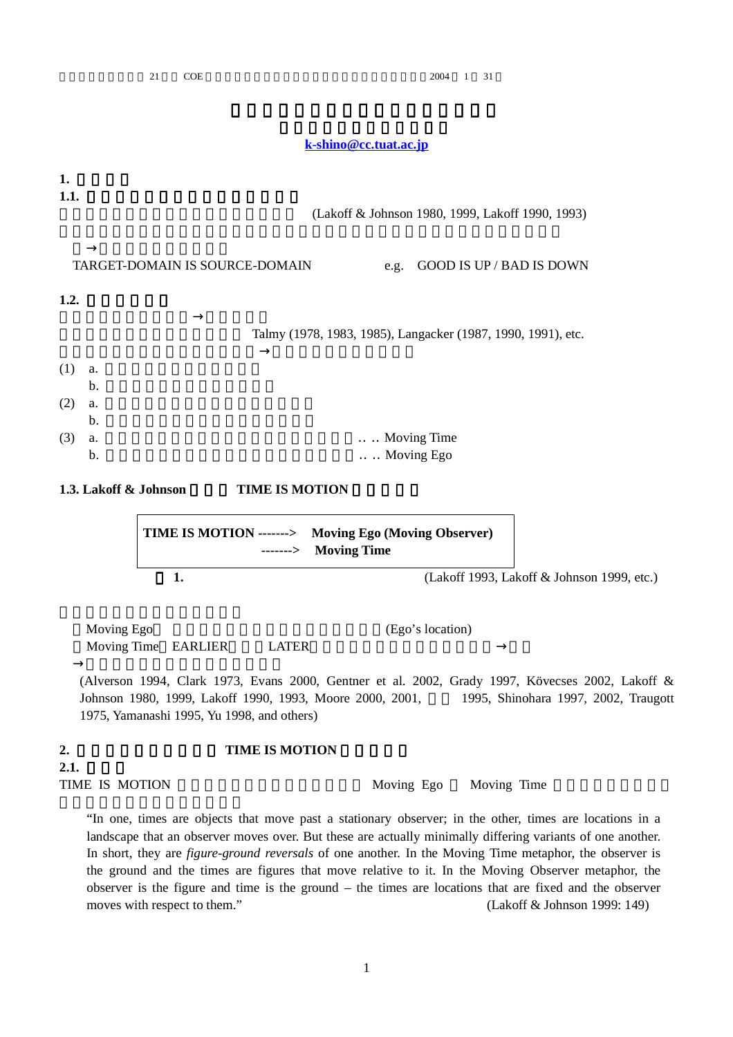|                                                                        | 21<br><b>COE</b>                                                  |                                                                                                                 | 2004<br>31<br>1                                                                                                                                              |
|------------------------------------------------------------------------|-------------------------------------------------------------------|-----------------------------------------------------------------------------------------------------------------|--------------------------------------------------------------------------------------------------------------------------------------------------------------|
|                                                                        |                                                                   | k-shino@cc.tuat.ac.jp                                                                                           |                                                                                                                                                              |
|                                                                        |                                                                   |                                                                                                                 |                                                                                                                                                              |
| 1.<br>1.1.                                                             |                                                                   |                                                                                                                 | (Lakoff & Johnson 1980, 1999, Lakoff 1990, 1993)                                                                                                             |
|                                                                        | TARGET-DOMAIN IS SOURCE-DOMAIN                                    | e.g.                                                                                                            | <b>GOOD IS UP / BAD IS DOWN</b>                                                                                                                              |
| 1.2.                                                                   |                                                                   |                                                                                                                 |                                                                                                                                                              |
|                                                                        |                                                                   |                                                                                                                 | Talmy (1978, 1983, 1985), Langacker (1987, 1990, 1991), etc.                                                                                                 |
| (1)<br>a.<br>$\mathbf b$ .<br>(2)<br>a.<br>$\mathbf{b}$ .<br>(3)<br>a. |                                                                   |                                                                                                                 | <b>Moving Time</b>                                                                                                                                           |
| $\mathbf b$ .                                                          |                                                                   |                                                                                                                 | Moving Ego                                                                                                                                                   |
| 1.3. Lakoff & Johnson                                                  |                                                                   | <b>TIME IS MOTION</b><br>TIME IS MOTION -------> Moving Ego (Moving Observer)<br><b>Moving Time</b><br>-------> |                                                                                                                                                              |
|                                                                        | 1.                                                                |                                                                                                                 | (Lakoff 1993, Lakoff & Johnson 1999, etc.)                                                                                                                   |
| Moving Ego                                                             | Moving Time EARLIER<br>1975, Yamanashi 1995, Yu 1998, and others) | <b>LATER</b><br>Johnson 1980, 1999, Lakoff 1990, 1993, Moore 2000, 2001,                                        | (Ego's location)<br>(Alverson 1994, Clark 1973, Evans 2000, Gentner et al. 2002, Grady 1997, Kövecses 2002, Lakoff &<br>1995, Shinohara 1997, 2002, Traugott |
| 2.                                                                     |                                                                   | <b>TIME IS MOTION</b>                                                                                           |                                                                                                                                                              |

**2.1.**  TIME IS MOTION Moving Ego Moving Time

"In one, times are objects that move past a stationary observer; in the other, times are locations in a landscape that an observer moves over. But these are actually minimally differing variants of one another. In short, they are *figure-ground reversals* of one another. In the Moving Time metaphor, the observer is the ground and the times are figures that move relative to it. In the Moving Observer metaphor, the observer is the figure and time is the ground – the times are locations that are fixed and the observer moves with respect to them." (Lakoff & Johnson 1999: 149)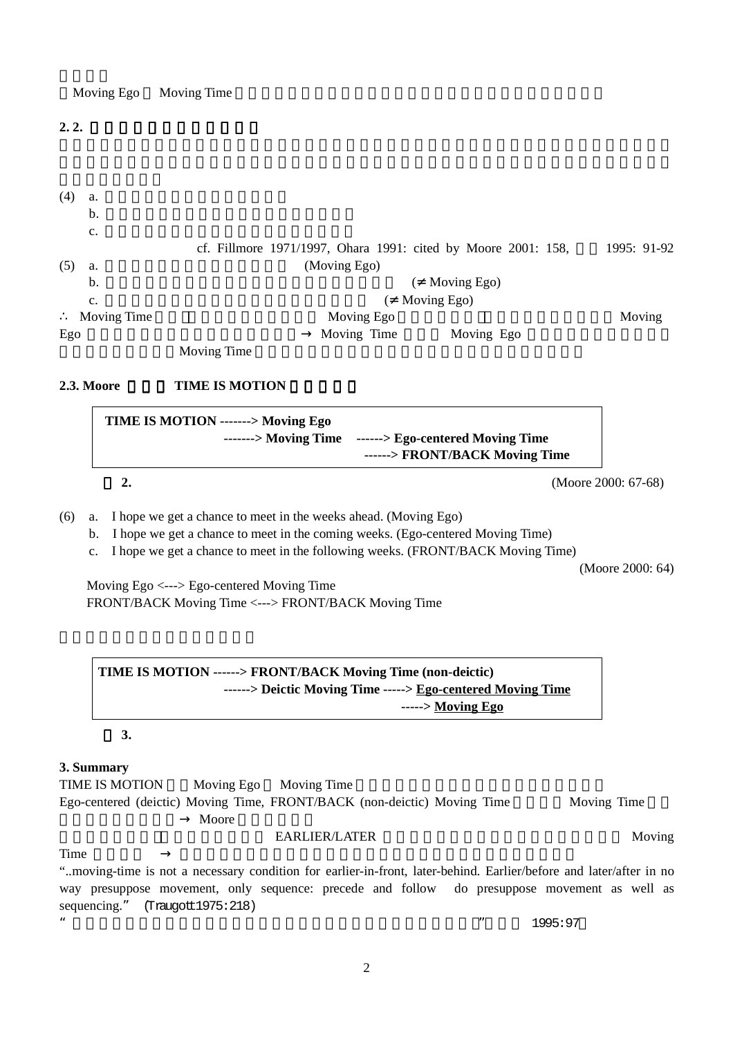Moving Ego Moving Time

**2. 2.** 

| (4) | a.          |             |              |                                                               |             |
|-----|-------------|-------------|--------------|---------------------------------------------------------------|-------------|
|     | b.          |             |              |                                                               |             |
|     | c.          |             |              |                                                               |             |
|     |             |             |              | cf. Fillmore 1971/1997, Ohara 1991: cited by Moore 2001: 158, | 1995: 91-92 |
| (5) | a.          |             | (Moving Ego) |                                                               |             |
|     | b.          |             |              | Moving Ego)                                                   |             |
|     | c.          |             |              | Moving Ego)                                                   |             |
|     | Moving Time |             | Moving Ego   |                                                               | Moving      |
| Ego |             |             | Moving Time  | Moving Ego                                                    |             |
|     |             | Moving Time |              |                                                               |             |

## **2.3. Moore TIME IS MOTION**

| TIME IS MOTION -------> Moving Ego |                                                                                         |                        |
|------------------------------------|-----------------------------------------------------------------------------------------|------------------------|
|                                    | -------> Moving Time ------> Ego-centered Moving Time<br>------> FRONT/BACK Moving Time |                        |
|                                    |                                                                                         | (Moore 2000: $67-68$ ) |

(6) a. I hope we get a chance to meet in the weeks ahead. (Moving Ego)

b. I hope we get a chance to meet in the coming weeks. (Ego-centered Moving Time)

c. I hope we get a chance to meet in the following weeks. (FRONT/BACK Moving Time)

(Moore 2000: 64)

Moving Ego <---> Ego-centered Moving Time FRONT/BACK Moving Time <---> FRONT/BACK Moving Time

# **TIME IS MOTION ------> FRONT/BACK Moving Time (non-deictic) ------> Deictic Moving Time -----> Ego-centered Moving Time -----> Moving Ego**

**3.**

## **3. Summary**

TIME IS MOTION Moving Ego Moving Time Ego-centered (deictic) Moving Time, FRONT/BACK (non-deictic) Moving Time Moving Time Moore 0

## EARLIER/LATER Moving Time  $\sum_{k=1}^{\infty}$

"..moving-time is not a necessary condition for earlier-in-front, later-behind. Earlier/before and later/after in no way presuppose movement, only sequence: precede and follow do presuppose movement as well as sequencing." (Traugott1975:218)

 $^{\prime\prime}$  and  $^{\prime\prime}$  and  $^{\prime\prime}$  1995:97

## 2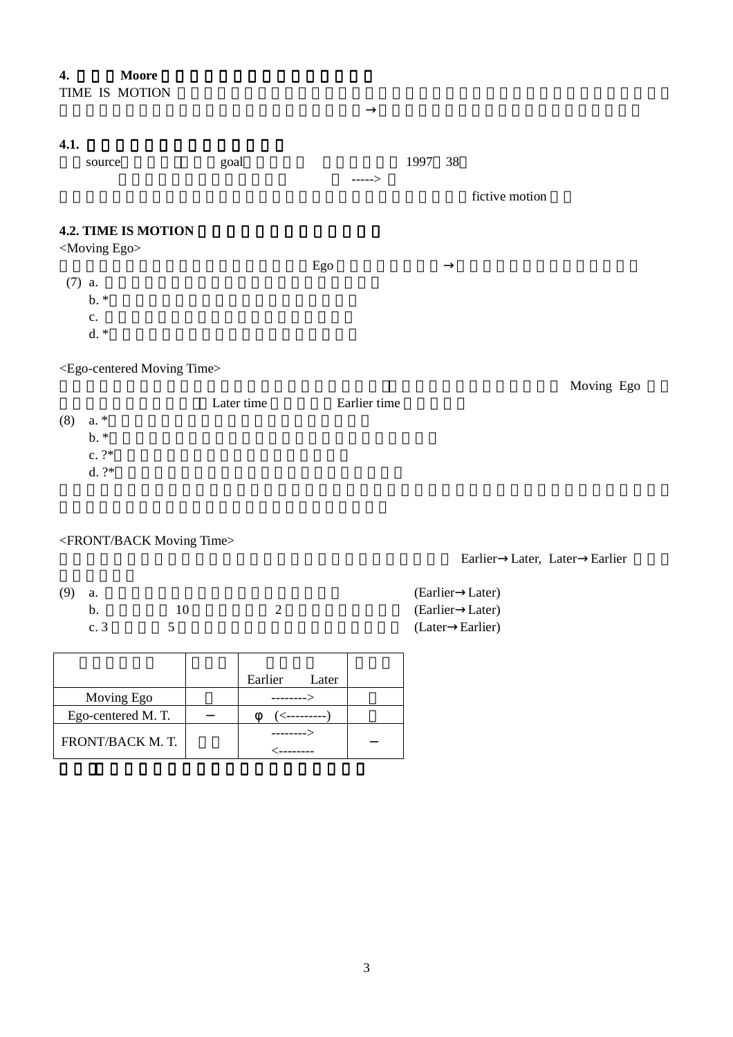## **4.1.**

| 4.L. |                            |      |     |        |         |                |
|------|----------------------------|------|-----|--------|---------|----------------|
|      | source                     | goal |     |        | 1997 38 |                |
|      |                            |      |     | $--->$ |         |                |
|      |                            |      |     |        |         | fictive motion |
|      |                            |      |     |        |         |                |
|      | <b>4.2. TIME IS MOTION</b> |      |     |        |         |                |
|      | <moving ego=""></moving>   |      |     |        |         |                |
|      |                            |      | Ego |        |         |                |
|      | $(7)$ a.                   |      |     |        |         |                |
|      | $b.*$                      |      |     |        |         |                |
|      | c.                         |      |     |        |         |                |
|      | $d.*$                      |      |     |        |         |                |
|      |                            |      |     |        |         |                |
|      |                            |      |     |        |         |                |

## <Ego-centered Moving Time>

|           |            |              | Moving Ego |
|-----------|------------|--------------|------------|
|           | Later time | Earlier time |            |
| $(8)$ a.* |            |              |            |
| $b.*$     |            |              |            |
| c. $?^*$  |            |              |            |
| $d. ?*$   |            |              |            |

Earlier Later, Later Earlier

# <FRONT/BACK Moving Time>

| $(9)$ a. |     |    | (Earlier Later) |  |
|----------|-----|----|-----------------|--|
|          | b.  | 10 | (Earlier Later) |  |
|          | c.3 |    | (Later Earlier) |  |

|                   | Earlier   | Later        |  |
|-------------------|-----------|--------------|--|
| Moving Ego        | --------- |              |  |
| Ego-centered M.T. |           | ′<---------- |  |
| FRONT/BACK M.T.   | --------> |              |  |
|                   |           |              |  |

3